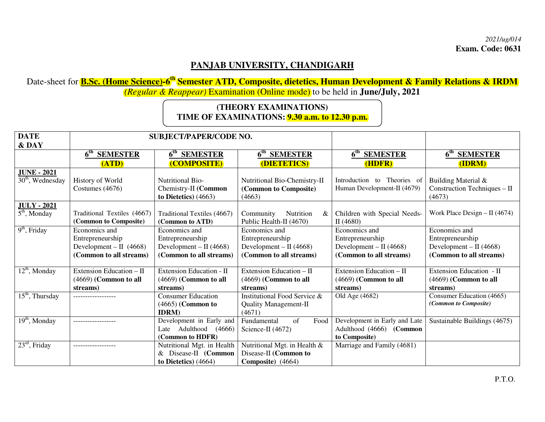## **PANJAB UNIVERSITY, CHANDIGARH**

 Date-sheet for **B.Sc. (Home Science)-6th Semester ATD, Composite, dietetics, Human Development & Family Relations & IRDM**  *(Regular & Reappear)* Examination (Online mode) to be held in **June/July, 2021** 

## **(THEORY EXAMINATIONS) TIME OF EXAMINATIONS: 9.30 a.m. to 12.30 p.m.**

| <b>DATE</b>                  | <b>SUBJECT/PAPER/CODE NO.</b>                        |                                                |                                                                 |                                             |                                                                 |
|------------------------------|------------------------------------------------------|------------------------------------------------|-----------------------------------------------------------------|---------------------------------------------|-----------------------------------------------------------------|
| & DAY                        |                                                      |                                                |                                                                 |                                             |                                                                 |
|                              | $\bar{6}^{\text{th}}$<br><b>SEMESTER</b>             | 6 <sup>th</sup> SEMESTER                       | 6 <sup>th</sup> SEMESTER                                        | 6 <sup>th</sup> SEMESTER                    | $6^{\text{th}}$<br><b>SEMESTER</b>                              |
|                              | (ATD)                                                | <b>(COMPOSITE)</b>                             | (DIETETICS)                                                     | (HDFR)                                      | (IDRM)                                                          |
| <b>JUNE - 2021</b>           |                                                      | <b>Nutritional Bio-</b>                        |                                                                 | Introduction to Theories of                 |                                                                 |
| $30th$ , Wednesday           | History of World<br>Costumes (4676)                  | Chemistry-II (Common<br>to Dietetics) $(4663)$ | Nutritional Bio-Chemistry-II<br>(Common to Composite)<br>(4663) | Human Development-II (4679)                 | Building Material &<br>Construction Techniques $-$ II<br>(4673) |
| <b>JULY - 2021</b>           |                                                      |                                                |                                                                 |                                             |                                                                 |
| $\overline{5^{th}}$ , Monday | Traditional Textiles (4667)<br>(Common to Composite) | Traditional Textiles (4667)<br>(Common to ATD) | Nutrition<br>Community<br>&<br>Public Health-II (4670)          | Children with Special Needs-<br>II $(4680)$ | Work Place Design $-$ II (4674)                                 |
| $9th$ , Friday               | Economics and                                        | Economics and                                  | Economics and                                                   | Economics and                               | Economics and                                                   |
|                              | Entrepreneurship                                     | Entrepreneurship                               | Entrepreneurship                                                | Entrepreneurship                            | Entrepreneurship                                                |
|                              | Development – II $(4668)$                            | Development – II $(4668)$                      | Development – II $(4668)$                                       | Development – II $(4668)$                   | Development – II $(4668)$                                       |
|                              | (Common to all streams)                              | (Common to all streams)                        | (Common to all streams)                                         | (Common to all streams)                     | (Common to all streams)                                         |
| $12th$ , Monday              | Extension Education - II                             | Extension Education - II                       | Extension Education - II                                        | Extension Education - II                    | Extension Education - II                                        |
|                              | (4669) (Common to all                                | $(4669)$ (Common to all                        | $(4669)$ (Common to all                                         | $(4669)$ (Common to all                     | (4669) (Common to all                                           |
|                              | streams)                                             | streams)                                       | streams)                                                        | streams)                                    | streams)                                                        |
| $15th$ , Thursday            | -------------------                                  | <b>Consumer Education</b>                      | Institutional Food Service &                                    | Old Age (4682)                              | Consumer Education (4665)                                       |
|                              |                                                      | $(4665)$ (Common to                            | <b>Quality Management-II</b>                                    |                                             | (Common to Composite)                                           |
|                              |                                                      | <b>IDRM</b> )                                  | (4671)                                                          |                                             |                                                                 |
| $19th$ , Monday              |                                                      | Development in Early and                       | of<br>Fundamental<br>Food                                       | Development in Early and Late               | Sustainable Buildings (4675)                                    |
|                              |                                                      | Adulthood (4666)<br>Late                       | Science-II (4672)                                               | Adulthood (4666) (Common                    |                                                                 |
|                              |                                                      | (Common to HDFR)                               |                                                                 | to Composite)                               |                                                                 |
| $23rd$ , Friday              |                                                      | Nutritional Mgt. in Health                     | Nutritional Mgt. in Health &                                    | Marriage and Family (4681)                  |                                                                 |
|                              |                                                      | Disease-II (Common<br>&                        | Disease-II (Common to                                           |                                             |                                                                 |
|                              |                                                      | to Dietetics) $(4664)$                         | Composite) (4664)                                               |                                             |                                                                 |